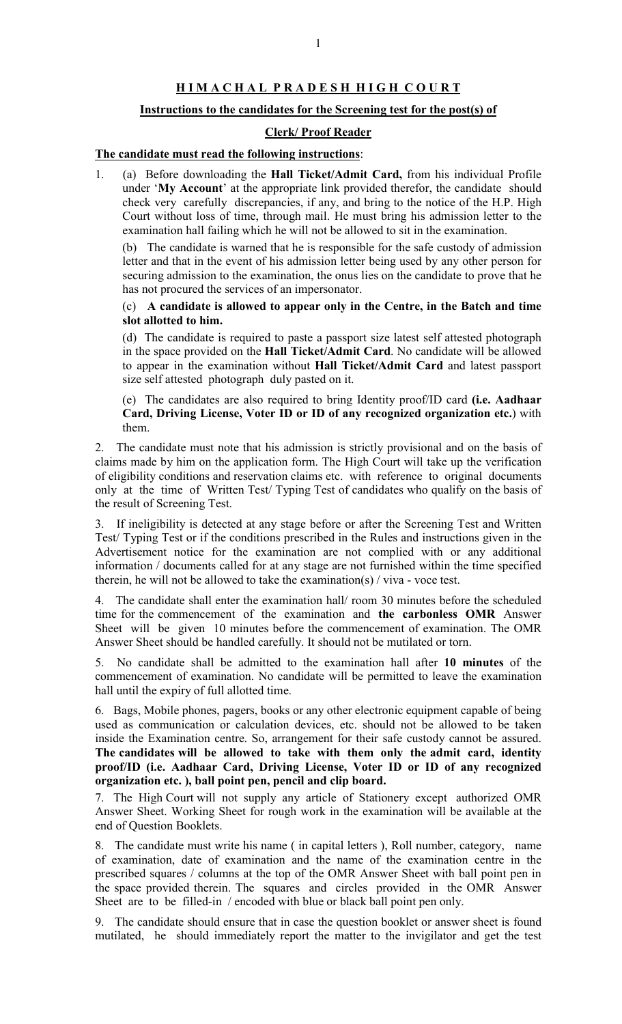## H I M A C H A L P R A D E S H H I G H C O U R T

### Instructions to the candidates for the Screening test for the post(s) of

### Clerk/ Proof Reader

# The candidate must read the following instructions:

1. (a) Before downloading the Hall Ticket/Admit Card, from his individual Profile under 'My Account' at the appropriate link provided therefor, the candidate should check very carefully discrepancies, if any, and bring to the notice of the H.P. High Court without loss of time, through mail. He must bring his admission letter to the examination hall failing which he will not be allowed to sit in the examination.

(b) The candidate is warned that he is responsible for the safe custody of admission letter and that in the event of his admission letter being used by any other person for securing admission to the examination, the onus lies on the candidate to prove that he has not procured the services of an impersonator.

#### (c) A candidate is allowed to appear only in the Centre, in the Batch and time slot allotted to him.

(d) The candidate is required to paste a passport size latest self attested photograph in the space provided on the Hall Ticket/Admit Card. No candidate will be allowed to appear in the examination without Hall Ticket/Admit Card and latest passport size self attested photograph duly pasted on it.

(e) The candidates are also required to bring Identity proof/ID card (i.e. Aadhaar Card, Driving License, Voter ID or ID of any recognized organization etc.) with them.

2. The candidate must note that his admission is strictly provisional and on the basis of claims made by him on the application form. The High Court will take up the verification of eligibility conditions and reservation claims etc. with reference to original documents only at the time of Written Test/ Typing Test of candidates who qualify on the basis of the result of Screening Test.

3. If ineligibility is detected at any stage before or after the Screening Test and Written Test/ Typing Test or if the conditions prescribed in the Rules and instructions given in the Advertisement notice for the examination are not complied with or any additional information / documents called for at any stage are not furnished within the time specified therein, he will not be allowed to take the examination(s) / viva - voce test.

The candidate shall enter the examination hall/ room 30 minutes before the scheduled time for the commencement of the examination and the carbonless OMR Answer Sheet will be given 10 minutes before the commencement of examination. The OMR Answer Sheet should be handled carefully. It should not be mutilated or torn.

5. No candidate shall be admitted to the examination hall after 10 minutes of the commencement of examination. No candidate will be permitted to leave the examination hall until the expiry of full allotted time.

6. Bags, Mobile phones, pagers, books or any other electronic equipment capable of being used as communication or calculation devices, etc. should not be allowed to be taken inside the Examination centre. So, arrangement for their safe custody cannot be assured. The candidates will be allowed to take with them only the admit card, identity proof/ID (i.e. Aadhaar Card, Driving License, Voter ID or ID of any recognized organization etc. ), ball point pen, pencil and clip board.

7. The High Court will not supply any article of Stationery except authorized OMR Answer Sheet. Working Sheet for rough work in the examination will be available at the end of Question Booklets.

8. The candidate must write his name ( in capital letters ), Roll number, category, name of examination, date of examination and the name of the examination centre in the prescribed squares / columns at the top of the OMR Answer Sheet with ball point pen in the space provided therein. The squares and circles provided in the OMR Answer Sheet are to be filled-in / encoded with blue or black ball point pen only.

9. The candidate should ensure that in case the question booklet or answer sheet is found mutilated, he should immediately report the matter to the invigilator and get the test